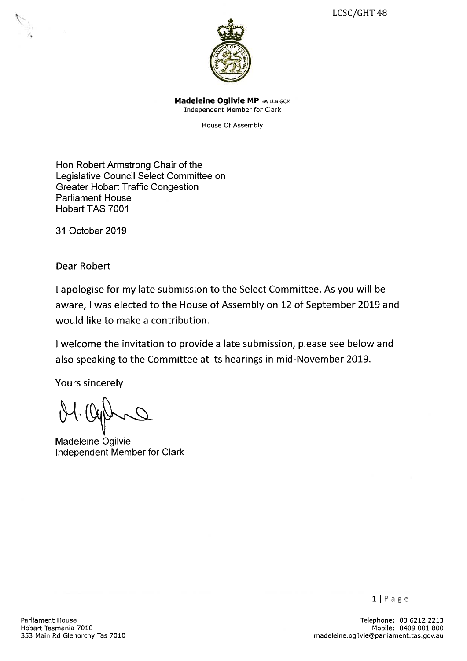

Madeleine Ogilvie MP BA LLB GCM Independent Member for Clark

House Of Assembly

Hon Robert Armstrong Chair of the Legislative Council Select Committee on Greater Hobart Traffic Congestion Parliament House Hobart TAS 7001

31 October 2019

Dear Robert

I apologise for my late submission to the Select Committee. As you will be aware, I was elected to the House of Assembly on 12 of September 2019 and would like to make a contribution.

I welcome the invitation to provide a late submission, please see below and also speaking to the Committee at its hearings in mid-November 2019.

Yours sincerely

 $\Lambda$ ,

Madeleine Ogilvie Independent Member for Clark

Telephone: 03 6212 2213 Mobile: 0409 001 800 madeleine. o9ilvie@parliament. tas. gov. au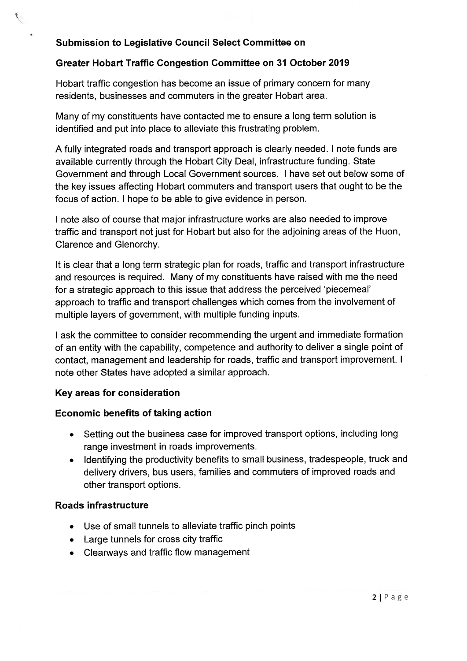# Submission to Legislative Council Select Committee on

 $\mathcal{P}$ 

# Greater Hobart Traffic Congestion Committee on 31 October 2019

Hobart traffic congestion has become an issue of primary concern for many residents, businesses and commuters in the greater Hobart area.

Many of my constituents have contacted me to ensure a long term solution is identified and put into place to alleviate this frustrating problem.

A fully integrated roads and transport approach is clearly needed. I note funds are available currently through the Hobart City Deal, infrastructure funding. State Government and through Local Government sources. I have set out below some of the key issues affecting Hobart commuters and transport users that ought to be the focus of action. I hope to be able to give evidence in person.

I note also of course that major infrastructure works are also needed to improve traffic and transport not just for Hobart but also for the adjoining areas of the Huon, Clarence and Glenorchy.

it is clear that a long term strategic plan for roads, traffic and transport infrastructure and resources is required. Many of my constituents have raised with me the need for a strategic approach to this issue that address the perceived 'piecemeal' approach to traffic and transport challenges which comes from the involvement of multiple layers of government, with multiple funding inputs.

I ask the committee to consider recommending the urgent and immediate formation of an entity with the capability, competence and authority to deliver a single point of contact, management and leadership for roads, traffic and transport improvement. I note other States have adopted a similar approach.

# Key areas for consideration

# Economic benefits of taking action

- . Setting out the business case for improved transport options, including long range investment in roads improvements.
- Identifying the productivity benefits to small business, tradespeople, truck and delivery drivers, bus users, families and commuters of improved roads and other transport options.

### Roads infrastructure

- . Use of small tunnels to alleviate traffic pinch points
- Large tunnels for cross city traffic .
- Clearways and traffic flow management .